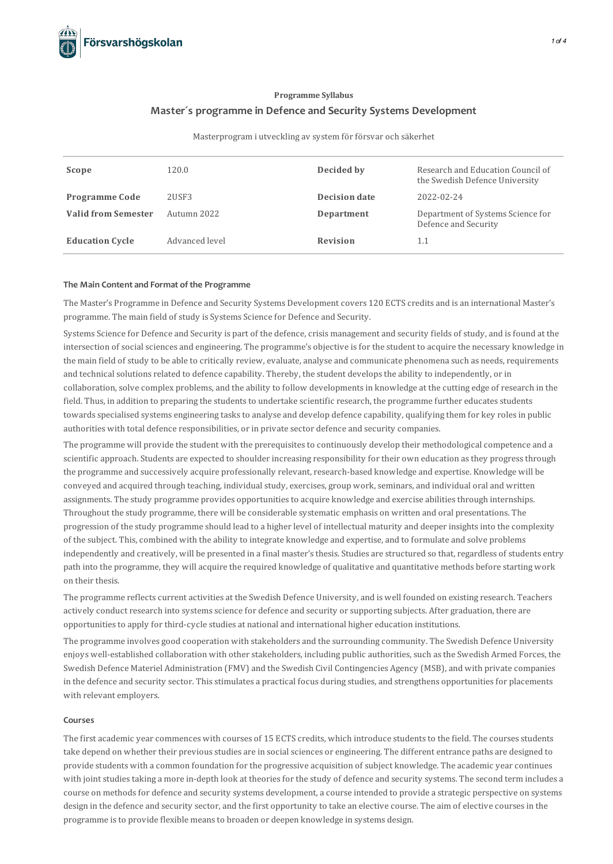

# **Programme Syllabus Master´s programme in Defence and Security Systems Development**

Masterprogram i utveckling av system för försvar och säkerhet

| Scope                      | 120.0          | Decided by    | Research and Education Council of<br>the Swedish Defence University |
|----------------------------|----------------|---------------|---------------------------------------------------------------------|
| <b>Programme Code</b>      | 2USE3          | Decision date | 2022-02-24                                                          |
| <b>Valid from Semester</b> | Autumn 2022    | Department    | Department of Systems Science for<br>Defence and Security           |
| <b>Education Cycle</b>     | Advanced level | Revision      | 1.1                                                                 |

### **The Main Contentand Format of the Programme**

The Master's Programme in Defence and Security Systems Development covers 120 ECTS credits and is an international Master's programme. The main field of study is Systems Science for Defence and Security.

Systems Science for Defence and Security is part of the defence, crisis management and security fields of study, and is found at the intersection of social sciences and engineering. The programme's objective is for the student to acquire the necessary knowledge in the main field of study to be able to critically review, evaluate, analyse and communicate phenomena such as needs, requirements and technical solutions related to defence capability. Thereby, the student develops the ability to independently, or in collaboration, solve complex problems, and the ability to follow developments in knowledge at the cutting edge of research in the field. Thus, in addition to preparing the students to undertake scientific research, the programme further educates students towards specialised systems engineering tasks to analyse and develop defence capability, qualifying them for key roles in public authorities with total defence responsibilities, or in private sector defence and security companies.

The programme will provide the student with the prerequisites to continuously develop their methodological competence and a scientific approach. Students are expected to shoulder increasing responsibility for their own education asthey progressthrough the programme and successively acquire professionally relevant, research-based knowledge and expertise. Knowledge will be conveyed and acquired through teaching, individual study, exercises, group work, seminars, and individual oral and written assignments. The study programme provides opportunitiesto acquire knowledge and exercise abilitiesthrough internships. Throughout the study programme, there will be considerable systematic emphasis on written and oral presentations. The progression of the study programme should lead to a higher level of intellectual maturity and deeper insightsinto the complexity of the subject. This,combined with the ability to integrate knowledge and expertise, and to formulate and solve problems independently and creatively, will be presented in a final master's thesis. Studies are structured so that, regardless of students entry path into the programme, they will acquire the required knowledge of qualitative and quantitative methods before starting work on their thesis.

The programme reflects current activities at the Swedish Defence University, and is well founded on existing research. Teachers actively conduct research into systems science for defence and security or supporting subjects. After graduation, there are opportunitiesto apply for third-cycle studies at national and international higher education institutions.

The programme involves good cooperation with stakeholders and the surrounding community. The Swedish Defence University enjoys well-established collaboration with other stakeholders, including public authorities, such as the Swedish Armed Forces, the Swedish Defence Materiel Administration (FMV) and the Swedish Civil Contingencies Agency (MSB), and with private companies in the defence and security sector. This stimulates a practical focus during studies, and strengthens opportunities for placements with relevant employers.

# **Courses**

The first academic year commences with courses of 15 ECTS credits, which introduce students to the field. The courses students take depend on whether their previousstudies are in socialsciences or engineering. The different entrance paths are designed to provide students with a common foundation for the progressive acquisition of subject knowledge. The academic yearcontinues with joint studies taking a more in-depth look at theories for the study of defence and security systems. The second term includes a course on methodsfor defence and security systems development, a course intended to provide a strategic perspective on systems design in the defence and security sector, and the first opportunity to take an elective course. The aim of elective courses in the programme isto provide flexible meansto broaden or deepen knowledge in systems design.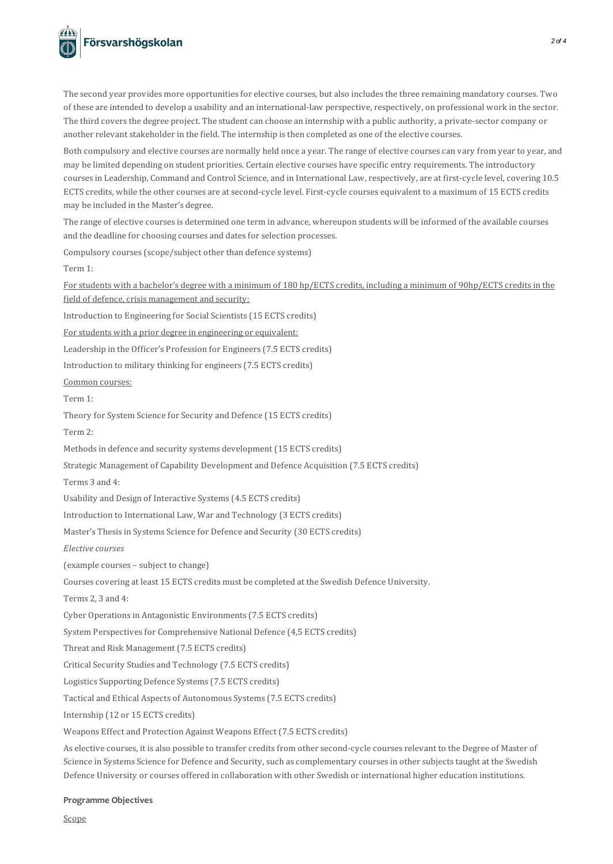

The second year provides more opportunities for elective courses, but also includes the three remaining mandatory courses. Two of these are intended to develop a usability and an international-law perspective, respectively, on professional work in the sector. The third covers the degree project. The student can choose an internship with a public authority, a private-sector company or another relevant stakeholder in the field. The internship isthen completed as one of the elective courses.

Both compulsory and elective courses are normally held once a year. The range of elective coursescan vary from year to year, and may be limited depending on student priorities. Certain elective courses have specific entry requirements. The introductory courses in Leadership, Command and Control Science, and in International Law, respectively, are at first-cycle level, covering 10.5 ECTS credits, while the othercourses are at second-cycle level. First-cycle courses equivalent to a maximum of 15 ECTS credits may be included in the Master's degree.

The range of elective coursesis determined one term in advance, whereupon students will be informed of the available courses and the deadline for choosing courses and dates for selection processes.

Compulsory courses(scope/subject other than defence systems)

Term 1:

For students with a bachelor's degree with a minimum of 180 hp/ECTS credits, including a minimum of 90hp/ECTS credits in the field of defence, crisis management and security:

Introduction to Engineering for Social Scientists(15 ECTS credits)

For students with a prior degree in engineering or equivalent:

Leadership in the Officer's Profession for Engineers(7.5 ECTS credits)

Introduction to military thinking for engineers(7.5 ECTS credits)

Common courses:

Term 1:

Theory for System Science for Security and Defence (15 ECTS credits)

Term 2:

Methods in defence and security systems development (15 ECTS credits)

Strategic Management of Capability Development and Defence Acquisition (7.5 ECTS credits)

Terms 3 and 4:

Usability and Design of Interactive Systems(4.5 ECTS credits)

Introduction to International Law, War and Technology (3 ECTS credits)

Master's Thesis in Systems Science for Defence and Security (30 ECTS credits)

*Elective courses*

(example courses – subject to change)

Courses covering at least 15 ECTS credits must be completed at the Swedish Defence University.

Terms 2, 3 and 4:

Cyber Operations in Antagonistic Environments (7.5 ECTS credits)

System Perspectives for Comprehensive National Defence (4,5 ECTS credits)

Threat and Risk Management (7.5 ECTS credits)

Critical Security Studies and Technology (7.5 ECTS credits)

Logistics Supporting Defence Systems(7.5 ECTS credits)

Tactical and Ethical Aspects of Autonomous Systems(7.5 ECTS credits)

Internship (12 or 15 ECTS credits)

Weapons Effect and Protection Against Weapons Effect (7.5 ECTS credits)

As elective courses, it is also possible to transfer credits from other second-cycle courses relevant to the Degree of Master of Science in Systems Science for Defence and Security, such as complementary courses in other subjects taught at the Swedish Defence University or courses offered in collaboration with other Swedish or international higher education institutions.

# **Programme Objectives**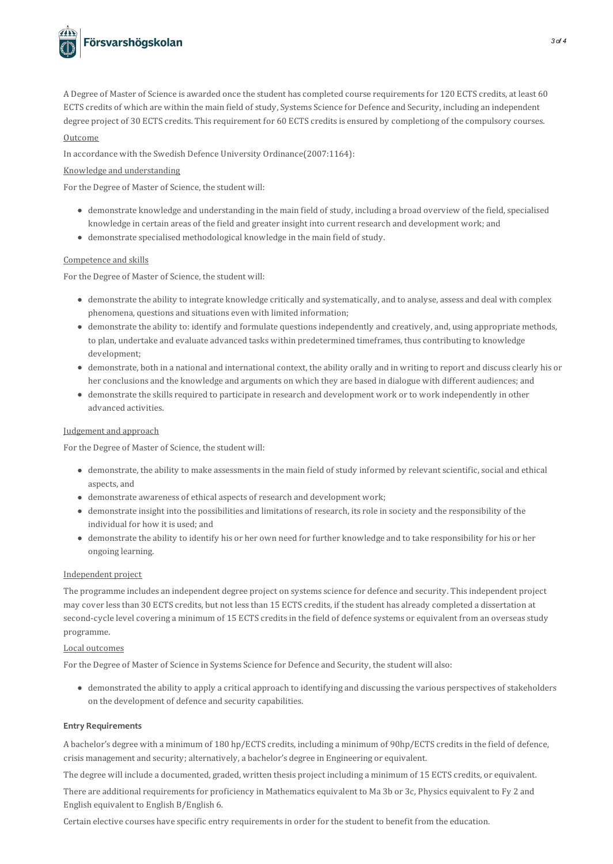

A Degree of Master of Science is awarded once the student has completed course requirements for 120 ECTS credits, at least 60 ECTS credits of which are within the main field of study, Systems Science for Defence and Security, including an independent degree project of 30 ECTS credits. Thisrequirement for 60 ECTS creditsis ensured by completiong of the compulsory courses.

## Outcome

In accordance with the Swedish Defence University Ordinance(2007:1164):

## Knowledge and understanding

For the Degree of Master of Science, the student will:

- $\bullet$  demonstrate knowledge and understanding in the main field of study, including a broad overview of the field, specialised knowledge in certain areas of the field and greater insight into current research and development work; and
- demonstrate specialised methodological knowledge in the main field of study.

### Competence and skills

For the Degree of Master of Science, the student will:

- demonstrate the ability to integrate knowledge critically and systematically, and to analyse, assess and deal with complex phenomena, questions and situations even with limited information;
- demonstrate the ability to: identify and formulate questionsindependently and creatively, and, using appropriate methods, to plan, undertake and evaluate advanced tasks within predetermined timeframes, thuscontributing to knowledge development;
- demonstrate, both in a national and international context, the ability orally and in writing to report and discuss clearly his or her conclusions and the knowledge and arguments on which they are based in dialogue with different audiences; and
- demonstrate the skills required to participate in research and development work or to work independently in other advanced activities.

# Judgement and approach

For the Degree of Master of Science, the student will:

- $\bullet$  demonstrate, the ability to make assessments in the main field of study informed by relevant scientific, social and ethical aspects, and
- demonstrate awareness of ethical aspects of research and development work;
- demonstrate insight into the possibilities and limitations of research, itsrole in society and the responsibility of the individual for how it is used; and
- demonstrate the ability to identify his or her own need for further knowledge and to take responsibility for his or her ongoing learning.

#### Independent project

The programme includes an independent degree project on systems science for defence and security. This independent project may cover lessthan 30 ECTS credits, but not lessthan 15 ECTS credits, if the student has already completed a dissertation at second-cycle level covering a minimum of 15 ECTS credits in the field of defence systems or equivalent from an overseas study programme.

### Local outcomes

For the Degree of Master of Science in Systems Science for Defence and Security, the student will also:

demonstrated the ability to apply a critical approach to identifying and discussing the various perspectives of stakeholders on the development of defence and security capabilities.

#### **Entry Requirements**

A bachelor's degree with a minimum of 180 hp/ECTS credits, including a minimum of 90hp/ECTS creditsin the field of defence, crisis management and security; alternatively, a bachelor's degree in Engineering or equivalent.

The degree will include a documented, graded, written thesis project including a minimum of 15 ECTS credits, or equivalent.

There are additional requirementsfor proficiency in Mathematics equivalent to Ma 3b or 3c, Physics equivalent to Fy 2 and English equivalent to English B/English 6.

Certain elective courses have specific entry requirementsin order for the student to benefit from the education.